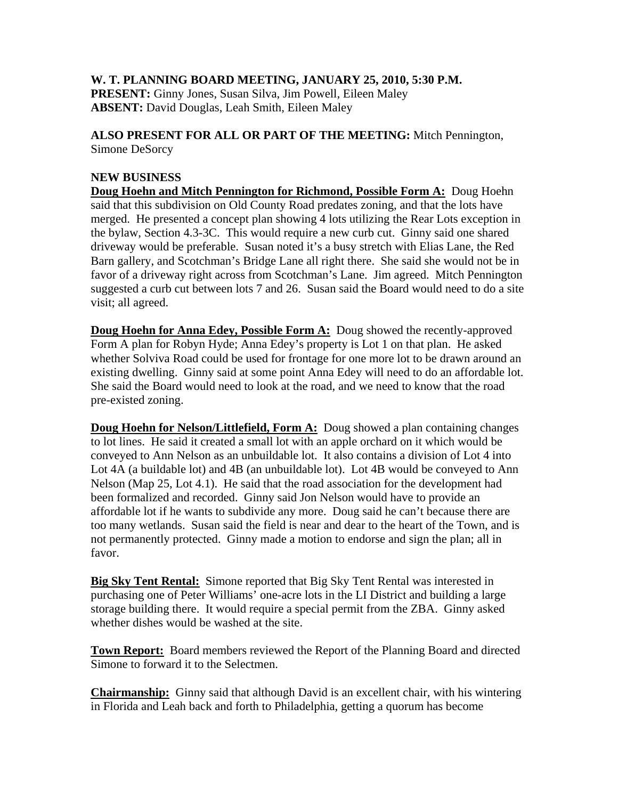## **W. T. PLANNING BOARD MEETING, JANUARY 25, 2010, 5:30 P.M.**

**PRESENT:** Ginny Jones, Susan Silva, Jim Powell, Eileen Maley **ABSENT:** David Douglas, Leah Smith, Eileen Maley

**ALSO PRESENT FOR ALL OR PART OF THE MEETING:** Mitch Pennington, Simone DeSorcy

## **NEW BUSINESS**

**Doug Hoehn and Mitch Pennington for Richmond, Possible Form A:** Doug Hoehn said that this subdivision on Old County Road predates zoning, and that the lots have merged. He presented a concept plan showing 4 lots utilizing the Rear Lots exception in the bylaw, Section 4.3-3C. This would require a new curb cut. Ginny said one shared driveway would be preferable. Susan noted it's a busy stretch with Elias Lane, the Red Barn gallery, and Scotchman's Bridge Lane all right there. She said she would not be in favor of a driveway right across from Scotchman's Lane. Jim agreed. Mitch Pennington suggested a curb cut between lots 7 and 26. Susan said the Board would need to do a site visit; all agreed.

**Doug Hoehn for Anna Edey, Possible Form A:** Doug showed the recently-approved Form A plan for Robyn Hyde; Anna Edey's property is Lot 1 on that plan. He asked whether Solviva Road could be used for frontage for one more lot to be drawn around an existing dwelling. Ginny said at some point Anna Edey will need to do an affordable lot. She said the Board would need to look at the road, and we need to know that the road pre-existed zoning.

**Doug Hoehn for Nelson/Littlefield, Form A:** Doug showed a plan containing changes to lot lines. He said it created a small lot with an apple orchard on it which would be conveyed to Ann Nelson as an unbuildable lot. It also contains a division of Lot 4 into Lot 4A (a buildable lot) and 4B (an unbuildable lot). Lot 4B would be conveyed to Ann Nelson (Map 25, Lot 4.1). He said that the road association for the development had been formalized and recorded. Ginny said Jon Nelson would have to provide an affordable lot if he wants to subdivide any more. Doug said he can't because there are too many wetlands. Susan said the field is near and dear to the heart of the Town, and is not permanently protected. Ginny made a motion to endorse and sign the plan; all in favor.

**Big Sky Tent Rental:** Simone reported that Big Sky Tent Rental was interested in purchasing one of Peter Williams' one-acre lots in the LI District and building a large storage building there. It would require a special permit from the ZBA. Ginny asked whether dishes would be washed at the site.

**Town Report:** Board members reviewed the Report of the Planning Board and directed Simone to forward it to the Selectmen.

**Chairmanship:** Ginny said that although David is an excellent chair, with his wintering in Florida and Leah back and forth to Philadelphia, getting a quorum has become